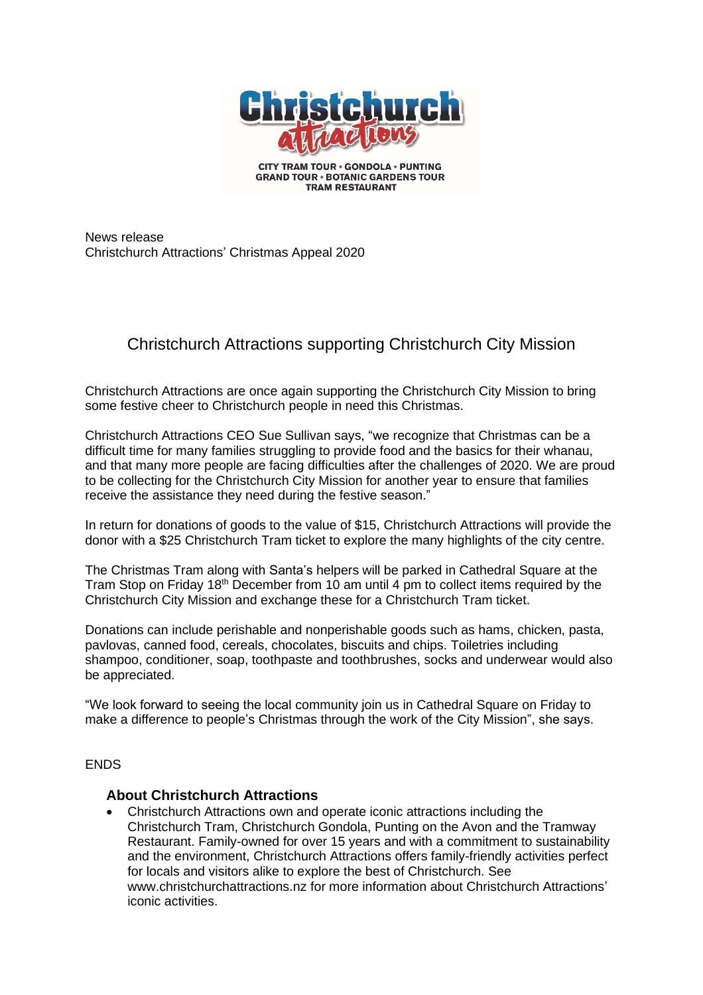

**CITY TRAM TOUR . GONDOLA . PUNTING GRAND TOUR . BOTANIC GARDENS TOUR TRAM RESTAURANT** 

News release Christchurch Attractions' Christmas Appeal 2020

## Christchurch Attractions supporting Christchurch City Mission

Christchurch Attractions are once again supporting the Christchurch City Mission to bring some festive cheer to Christchurch people in need this Christmas.

Christchurch Attractions CEO Sue Sullivan says, "we recognize that Christmas can be a difficult time for many families struggling to provide food and the basics for their whanau, and that many more people are facing difficulties after the challenges of 2020. We are proud to be collecting for the Christchurch City Mission for another year to ensure that families receive the assistance they need during the festive season."

In return for donations of goods to the value of \$15, Christchurch Attractions will provide the donor with a \$25 Christchurch Tram ticket to explore the many highlights of the city centre.

The Christmas Tram along with Santa's helpers will be parked in Cathedral Square at the Tram Stop on Friday 18<sup>th</sup> December from 10 am until 4 pm to collect items required by the Christchurch City Mission and exchange these for a Christchurch Tram ticket.

Donations can include perishable and nonperishable goods such as hams, chicken, pasta, pavlovas, canned food, cereals, chocolates, biscuits and chips. Toiletries including shampoo, conditioner, soap, toothpaste and toothbrushes, socks and underwear would also be appreciated.

"We look forward to seeing the local community join us in Cathedral Square on Friday to make a difference to people's Christmas through the work of the City Mission", she says.

## **ENDS**

## **About Christchurch Attractions**

• Christchurch Attractions own and operate iconic attractions including the Christchurch Tram, Christchurch Gondola, Punting on the Avon and the Tramway Restaurant. Family-owned for over 15 years and with a commitment to sustainability and the environment, Christchurch Attractions offers family-friendly activities perfect for locals and visitors alike to explore the best of Christchurch. See www.christchurchattractions.nz for more information about Christchurch Attractions' iconic activities.